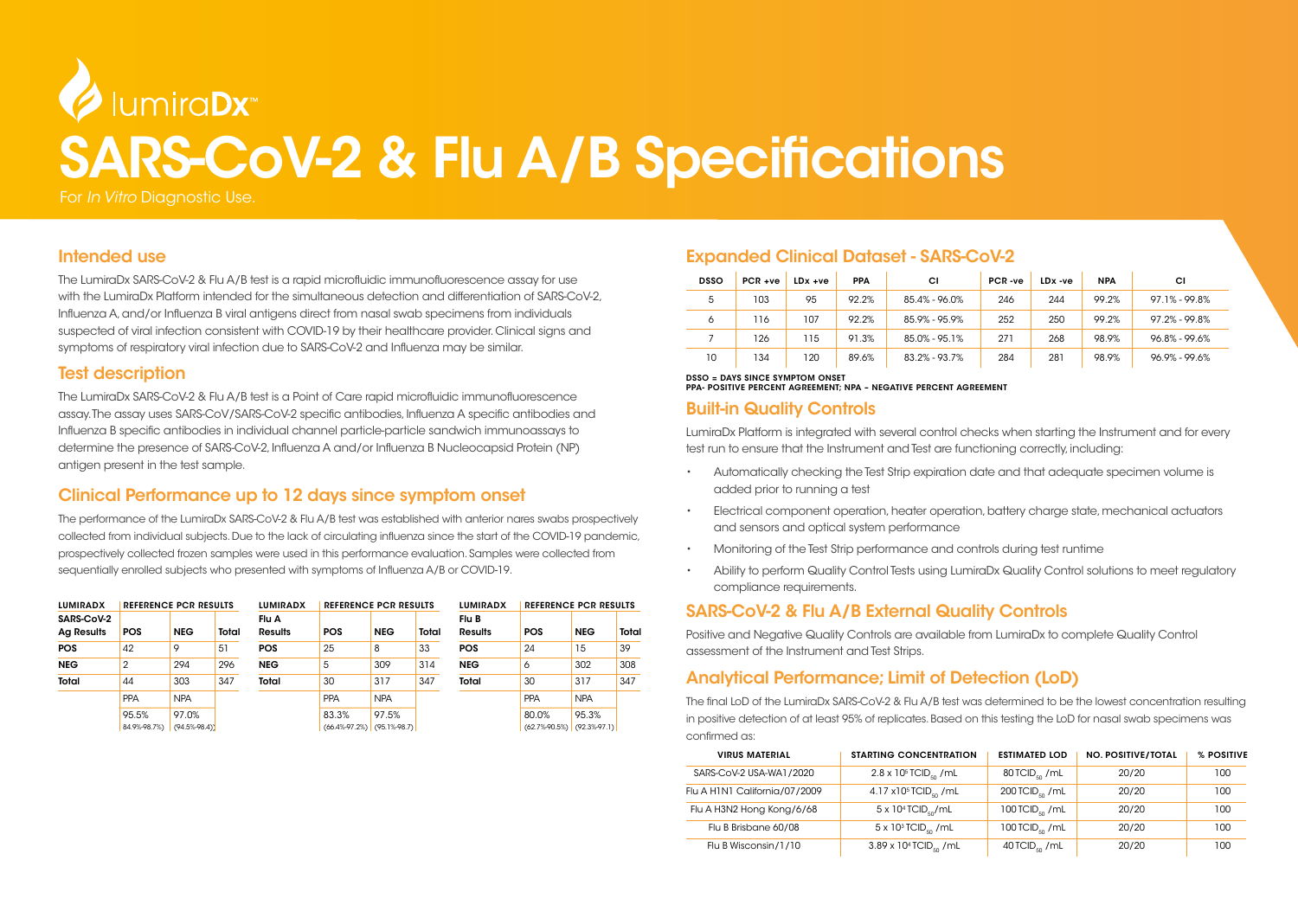# UmiraDx SARS-CoV-2 & Flu A/B Specifications

For *In Vitro* Diagnostic Use.

#### Intended use

The LumiraDx SARS-CoV-2 & Flu A/B test is a rapid microfluidic immunofluorescence assay for use with the LumiraDx Platform intended for the simultaneous detection and differentiation of SARS-CoV-2, Influenza A, and/or Influenza B viral antigens direct from nasal swab specimens from individuals suspected of viral infection consistent with COVID-19 by their healthcare provider. Clinical signs and symptoms of respiratory viral infection due to SARS-CoV-2 and Influenza may be similar.

### Test description

The LumiraDx SARS-CoV-2 & Flu A/B test is a Point of Care rapid microfluidic immunofluorescence assay. The assay uses SARS-CoV/SARS-CoV-2 specific antibodies, Influenza A specific antibodies and Influenza B specific antibodies in individual channel particle-particle sandwich immunoassays to determine the presence of SARS-CoV-2, Influenza A and/or Influenza B Nucleocapsid Protein (NP) antigen present in the test sample.

# Clinical Performance up to 12 days since symptom onset

The performance of the LumiraDx SARS-CoV-2 & Flu A/B test was established with anterior nares swabs prospectively collected from individual subjects. Due to the lack of circulating influenza since the start of the COVID-19 pandemic, prospectively collected frozen samples were used in this performance evaluation. Samples were collected from sequentially enrolled subjects who presented with symptoms of Influenza A/B or COVID-19.

| <b>LUMIRADX</b>                 | <b>REFERENCE PCR RESULTS</b> |                         |       | <b>LUMIRADX</b>         | <b>REFERENCE PCR RESULTS</b>             |            |       | <b>LUMIRADX</b>         | <b>REFERENCE PCR RESULTS</b>             |            |       |
|---------------------------------|------------------------------|-------------------------|-------|-------------------------|------------------------------------------|------------|-------|-------------------------|------------------------------------------|------------|-------|
| SARS-CoV-2<br><b>Ag Results</b> | <b>POS</b>                   | <b>NEG</b>              | Total | Flu A<br><b>Results</b> | <b>POS</b>                               | <b>NEG</b> | Total | Flu B<br><b>Results</b> | <b>POS</b>                               | <b>NEG</b> | Total |
| <b>POS</b>                      | 42                           | 9                       | 51    | <b>POS</b>              | 25                                       | 8          | 33    | <b>POS</b>              | 24                                       | 15         | 39    |
| <b>NEG</b>                      | 2                            | 294                     | 296   | <b>NEG</b>              | 5                                        | 309        | 314   | <b>NEG</b>              | 6                                        | 302        | 308   |
| Total                           | 44                           | 303                     | 347   | Total                   | 30                                       | 317        | 347   | Total                   | 30                                       | 317        | 347   |
|                                 | <b>PPA</b>                   | <b>NPA</b>              |       |                         | PPA                                      | <b>NPA</b> |       |                         | <b>PPA</b>                               | <b>NPA</b> |       |
|                                 | 95.5%<br>84.9%-98.7%)        | 97.0%<br>$(94.5\,98.4)$ |       |                         | 83.3%<br>$(66.4\% -97.2\%)$ (95.1%-98.7) | 97.5%      |       |                         | 80.0%<br>$(62.7\%90.5\%)$ $(92.3\%97.1)$ | 95.3%      |       |

# Expanded Clinical Dataset - SARS-CoV-2

| <b>DSSO</b> | $PCR + ve$ | $LDx +ve$ | PPA   | СI            | PCR-ve | LDx -ve | <b>NPA</b> | СI                |
|-------------|------------|-----------|-------|---------------|--------|---------|------------|-------------------|
| 5           | 103        | 95        | 92.2% | 85.4% - 96.0% | 246    | 244     | 99.2%      | $97.1\% - 99.8\%$ |
| 6           | 116        | 107       | 92.2% | 85.9% - 95.9% | 252    | 250     | 99.2%      | 97.2% - 99.8%     |
|             | 126        | 115       | 91.3% | 85.0% - 95.1% | 271    | 268     | 98.9%      | $96.8\% - 99.6\%$ |
| 10          | 134        | 120       | 89.6% | 83.2% - 93.7% | 284    | 281     | 98.9%      | $96.9\% - 99.6\%$ |

#### DSSO = DAYS SINCE SYMPTOM ONSET

PPA- POSITIVE PERCENT AGREEMENT; NPA – NEGATIVE PERCENT AGREEMENT

## Built-in Quality Controls

LumiraDx Platform is integrated with several control checks when starting the Instrument and for every test run to ensure that the Instrument and Test are functioning correctly, including:

- Automatically checking the Test Strip expiration date and that adequate specimen volume is added prior to running a test
- Electrical component operation, heater operation, battery charge state, mechanical actuators and sensors and optical system performance
- Monitoring of the Test Strip performance and controls during test runtime
- Ability to perform Quality Control Tests using LumiraDx Quality Control solutions to meet regulatory compliance requirements.

# SARS-CoV-2 & Flu A/B External Quality Controls

Positive and Negative Quality Controls are available from LumiraDx to complete Quality Control assessment of the Instrument and Test Strips.

# Analytical Performance; Limit of Detection (LoD)

The final LoD of the LumiraDx SARS-CoV-2 & Flu A/B test was determined to be the lowest concentration resulting in positive detection of at least 95% of replicates. Based on this testing the LoD for nasal swab specimens was confirmed as:

| <b>VIRUS MATERIAL</b>         | <b>STARTING CONCENTRATION</b>                  | <b>ESTIMATED LOD</b>         | <b>NO. POSITIVE/TOTAL</b> | % POSITIVE |
|-------------------------------|------------------------------------------------|------------------------------|---------------------------|------------|
| SARS-CoV-2 USA-WA1/2020       | $2.8 \times 10^5$ TCID <sub>50</sub> /mL       | 80 TCID <sub>50</sub> /mL    | 20/20                     | 100        |
| Flu A H1N1 California/07/2009 | 4.17 x10 <sup>5</sup> TCID <sub>50</sub> / mL  | $200$ TCID <sub>50</sub> /mL | 20/20                     | 100        |
| Flu A H3N2 Hong Kong/6/68     | $5 \times 10^4$ TCID <sub>so</sub> /mL         | 100 TCID <sub>50</sub> /mL   | 20/20                     | 100        |
| Flu B Brisbane 60/08          | $5 \times 10^3$ TCID <sub>50</sub> /mL         | 100 TCID <sub>50</sub> /mL   | 20/20                     | 100        |
| Flu B Wisconsin/1/10          | 3.89 x 10 <sup>4</sup> TCID <sub>50</sub> / mL | 40 TCID <sub>50</sub> / mL   | 20/20                     | 100        |